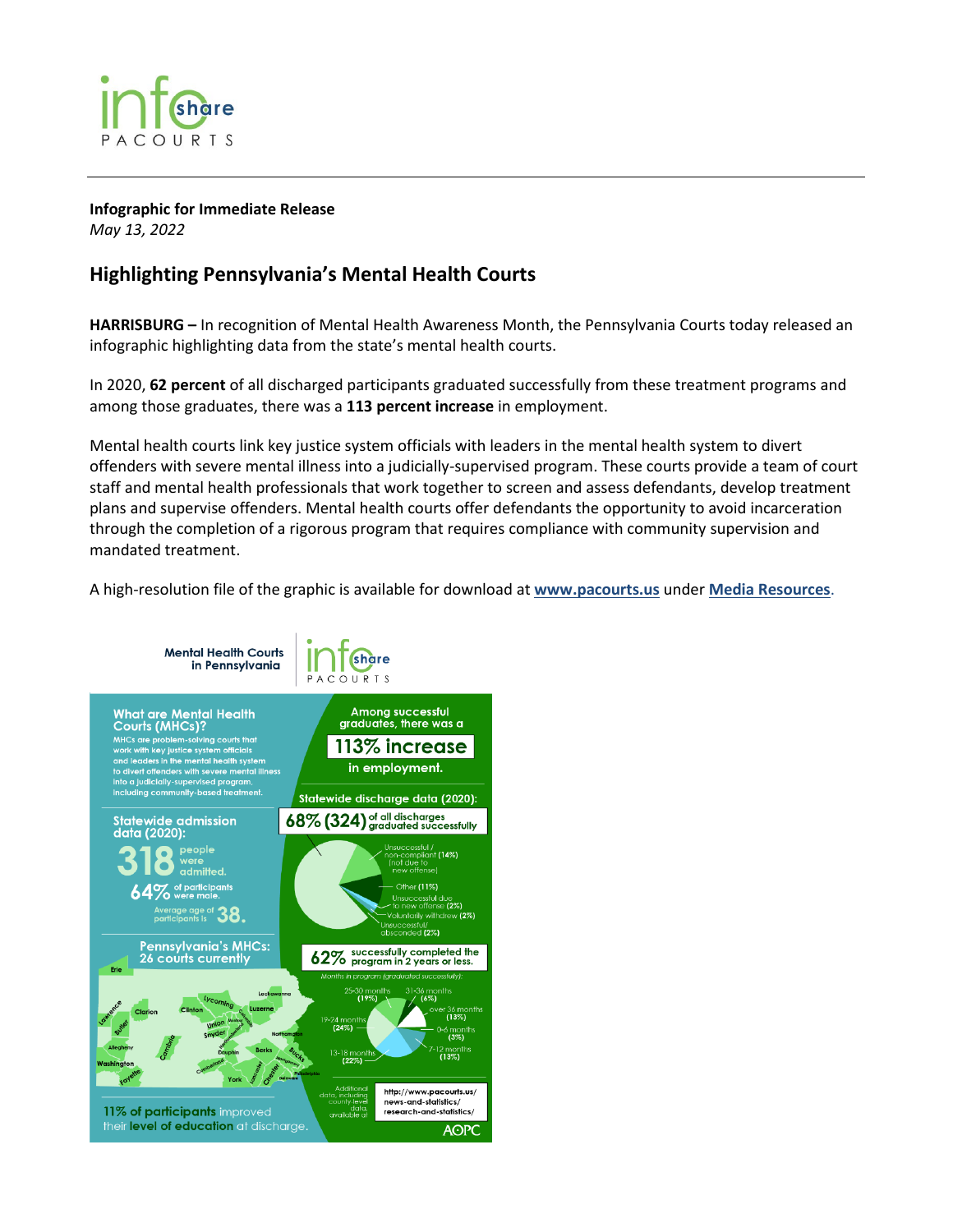

**Infographic for Immediate Release** *May 13, 2022*

## **Highlighting Pennsylvania's Mental Health Courts**

**HARRISBURG –** In recognition of Mental Health Awareness Month, the Pennsylvania Courts today released an infographic highlighting data from the state's mental health courts.

In 2020, **62 percent** of all discharged participants graduated successfully from these treatment programs and among those graduates, there was a **113 percent increase** in employment.

Mental health courts link key justice system officials with leaders in the mental health system to divert offenders with severe mental illness into a judicially-supervised program. These courts provide a team of court staff and mental health professionals that work together to screen and assess defendants, develop treatment plans and supervise offenders. Mental health courts offer defendants the opportunity to avoid incarceration through the completion of a rigorous program that requires compliance with community supervision and mandated treatment.

A high-resolution file of the graphic is available for download at **[www.pacourts.us](http://www.pacourts.us/)** under **[Media Resources](http://www.pacourts.us/news-and-statistics/media-resources)**.